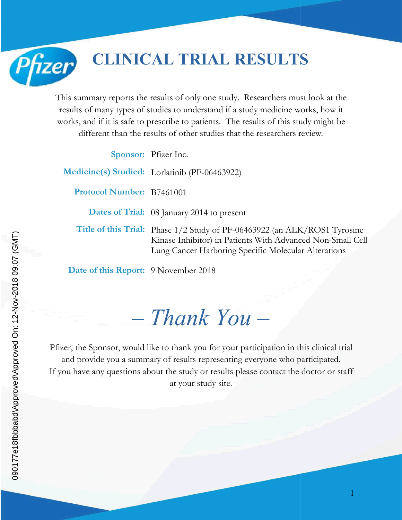**CLINICAL TRIAL RESULTS RESULTS**

This summary reports the results of only one study. Researchers must look at the results of many types of studies to understand if a study medicine works, how it works, and if it is safe to prescribe to patients. The resul results of many types of studies to understand if a study medicine works, how it works, and if it is safe to prescribe to patients. The results of this study might be different than the results of other studies that the researchers review.<br>Sponsor: Pfizer Inc.

Sponsor: Pfizer Inc.

**Medicine(s) Studied:** Lorlatinib (PF-06463922)

**Protocol Number:** B7461001

**Dates of Trial:**  08 January 2014 to present

**Title of this Trial:** Phase 1/2 Study of PF-06463922 (an ALK/ROS1 Tyrosine Phase 1/2 Study of PF-06463922 (an ALK/ROS1 Tyrosine<br>Kinase Inhibitor) in Patients With Advanced Non-Small Cell Lung Cancer Harboring Specific Molecular Alterations Cancer Harboring

**Date of this Report:** 9 November 2018

*– Thank You Thank –*

Pfizer, the Sponsor, would like to thank you for your participation in this clinical trial and provide you a summary of results representing everyone who participated. If you have any questions about the study or results please contact the doctor or staff at your study site.

Pfizer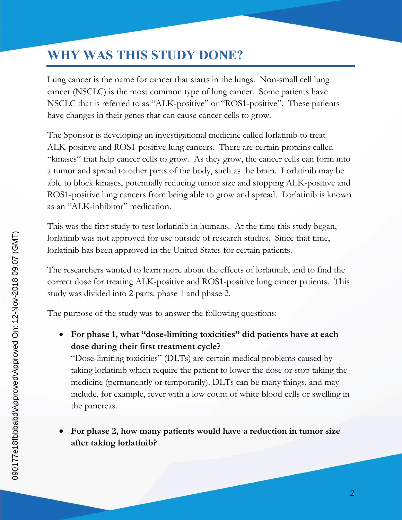# **WHY WAS THIS STUDY DONE?**

Lung cancer is the name for cancer that starts in the lungs. Non-small cell lung cancer (NSCLC) is the most common type of lung cancer. Some patients have NSCLC that is referred to as "ALK-positive" or "ROS1-positive". These patients have changes in their genes that can cause cancer cells to grow.

The Sponsor is developing an investigational medicine called lorlatinib to treat ALK-positive and ROS1-positive lung cancers. There are certain proteins called "kinases" that help cancer cells to grow. As they grow, the cancer cells can form into a tumor and spread to other parts of the body, such as the brain. Lorlatinib may be able to block kinases, potentially reducing tumor size and stopping ALK-positive and ROS1-positive lung cancers from being able to grow and spread. Lorlatinib is known as an "ALK-inhibitor" medication.

This was the first study to test lorlatinib in humans. At the time this study began, lorlatinib was not approved for use outside of research studies. Since that time, lorlatinib has been approved in the United States for certain patients.

The researchers wanted to learn more about the effects of lorlatinib, and to find the correct dose for treating ALK-positive and ROS1-positive lung cancer patients. This study was divided into 2 parts: phase 1 and phase 2.

The purpose of the study was to answer the following questions:

 **For phase 1, what "dose-limiting toxicities" did patients have at each dose during their first treatment cycle?**

"Dose-limiting toxicities" (DLTs) are certain medical problems caused by taking lorlatinib which require the patient to lower the dose or stop taking the medicine (permanently or temporarily). DLTs can be many things, and may include, for example, fever with a low count of white blood cells or swelling in the pancreas.

 **For phase 2, how many patients would have a reduction in tumor size after taking lorlatinib?**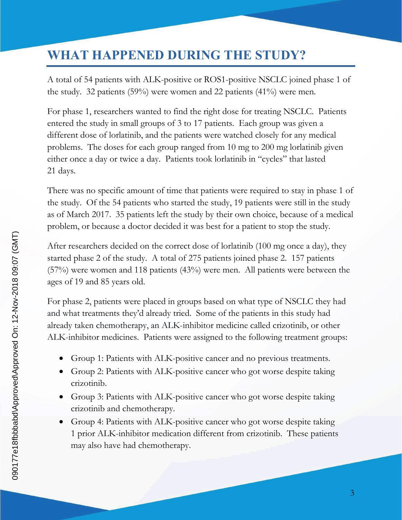## **WHAT HAPPENED DURING THE STUDY?**

A total of 54 patients with ALK-positive or ROS1-positive NSCLC joined phase 1 of the study. 32 patients (59%) were women and 22 patients (41%) were men.

For phase 1, researchers wanted to find the right dose for treating NSCLC. Patients entered the study in small groups of 3 to 17 patients. Each group was given a different dose of lorlatinib, and the patients were watched closely for any medical problems. The doses for each group ranged from 10 mg to 200 mg lorlatinib given either once a day or twice a day. Patients took lorlatinib in "cycles" that lasted 21 days.

There was no specific amount of time that patients were required to stay in phase 1 of the study. Of the 54 patients who started the study, 19 patients were still in the study as of March 2017. 35 patients left the study by their own choice, because of a medical problem, or because a doctor decided it was best for a patient to stop the study.

After researchers decided on the correct dose of lorlatinib (100 mg once a day), they started phase 2 of the study. A total of 275 patients joined phase 2. 157 patients (57%) were women and 118 patients (43%) were men. All patients were between the ages of 19 and 85 years old.

For phase 2, patients were placed in groups based on what type of NSCLC they had and what treatments they'd already tried. Some of the patients in this study had already taken chemotherapy, an ALK-inhibitor medicine called crizotinib, or other ALK-inhibitor medicines. Patients were assigned to the following treatment groups:

- Group 1: Patients with ALK-positive cancer and no previous treatments.
- Group 2: Patients with ALK-positive cancer who got worse despite taking crizotinib.
- Group 3: Patients with ALK-positive cancer who got worse despite taking crizotinib and chemotherapy.
- Group 4: Patients with ALK-positive cancer who got worse despite taking 1 prior ALK-inhibitor medication different from crizotinib. These patients may also have had chemotherapy.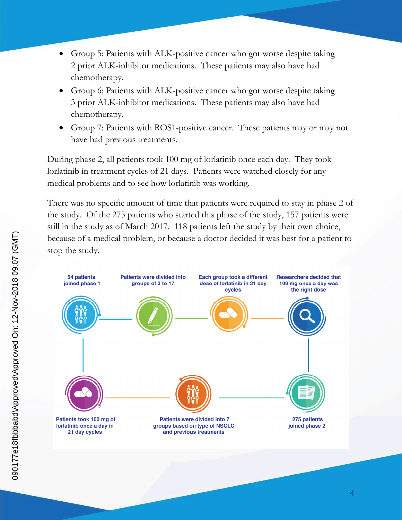- Group 5: Patients with ALK-positive cancer who got worse despite taking 2 prior ALK-inhibitor medications. These patients may also have had chemotherapy.
- Group 6: Patients with ALK-positive cancer who got worse despite taking 3 prior ALK-inhibitor medications. These patients may also have had chemotherapy.
- Group 7: Patients with ROS1-positive cancer. These patients may or may not have had previous treatments.

During phase 2, all patients took 100 mg of lorlatinib once each day. They took lorlatinib in treatment cycles of 21 days. Patients were watched closely for any medical problems and to see how lorlatinib was working.

There was no specific amount of time that patients were required to stay in phase 2 of the study. Of the 275 patients who started this phase of the study, 157 patients were still in the study as of March 2017. 118 patients left the study by their own choice, because of a medical problem, or because a doctor decided it was best for a patient to stop the study.

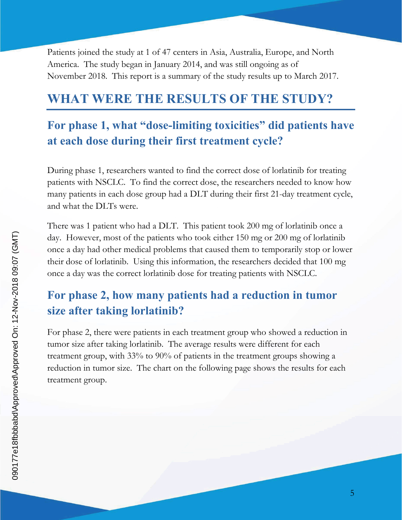Patients joined the study at 1 of 47 centers in Asia, Australia, Europe, and North America. The study began in January 2014, and was still ongoing as of November 2018. This report is a summary of the study results up to March 2017.

#### **WHAT WERE THE RESULTS OF THE STUDY?**

## **For phase 1, what "dose-limiting toxicities" did patients have at each dose during their first treatment cycle?**

During phase 1, researchers wanted to find the correct dose of lorlatinib for treating patients with NSCLC. To find the correct dose, the researchers needed to know how many patients in each dose group had a DLT during their first 21-day treatment cycle, and what the DLTs were.

There was 1 patient who had a DLT. This patient took 200 mg of lorlatinib once a day. However, most of the patients who took either 150 mg or 200 mg of lorlatinib once a day had other medical problems that caused them to temporarily stop or lower their dose of lorlatinib. Using this information, the researchers decided that 100 mg once a day was the correct lorlatinib dose for treating patients with NSCLC.

#### **For phase 2, how many patients had a reduction in tumor size after taking lorlatinib?**

For phase 2, there were patients in each treatment group who showed a reduction in tumor size after taking lorlatinib. The average results were different for each treatment group, with 33% to 90% of patients in the treatment groups showing a reduction in tumor size. The chart on the following page shows the results for each treatment group.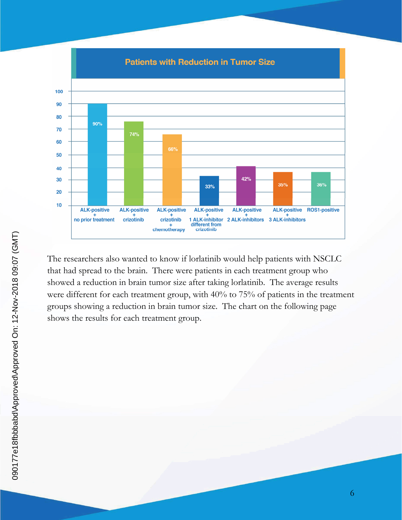

The researchers also wanted to know if lorlatinib would help patients with NSCLC that had spread to the brain. There were patients in each treatment group who showed a reduction in brain tumor size after taking lorlatinib. The average results were different for each treatment group, with 40% to 75% of patients in the treatment groups showing a reduction in brain tumor size. The chart on the following page shows the results for each treatment group.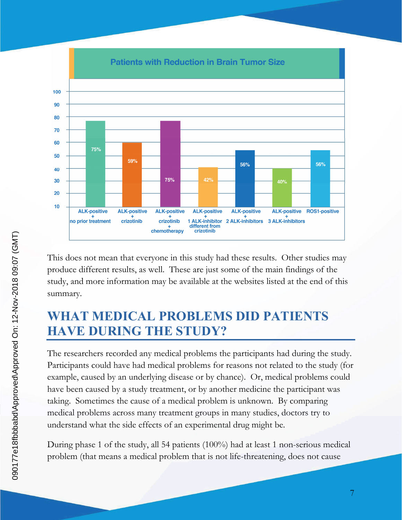

This does not mean that everyone in this study had these results. Other studies may produce different results, as well. These are just some of the main findings of the study, and more information may be available at the websites listed at the end of this summary.

## **WHAT MEDICAL PROBLEMS DID PATIENTS HAVE DURING THE STUDY?**

The researchers recorded any medical problems the participants had during the study. Participants could have had medical problems for reasons not related to the study (for example, caused by an underlying disease or by chance). Or, medical problems could have been caused by a study treatment, or by another medicine the participant was taking. Sometimes the cause of a medical problem is unknown. By comparing medical problems across many treatment groups in many studies, doctors try to understand what the side effects of an experimental drug might be.

During phase 1 of the study, all 54 patients (100%) had at least 1 non-serious medical problem (that means a medical problem that is not life-threatening, does not cause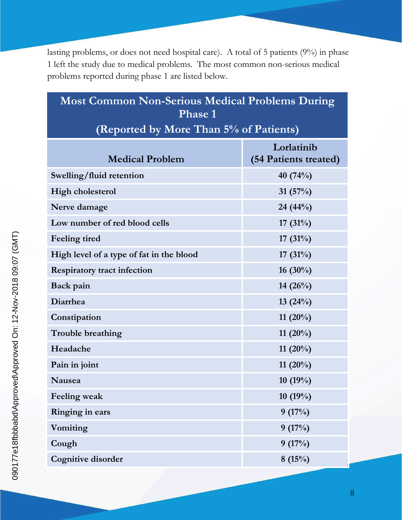lasting problems, or does not need hospital care). A total of 5 patients (9%) in phase 1 left the study due to medical problems. The most common non-serious medical problems reported during phase 1 are listed below.

## **Most Common Non-Serious Medical Problems During Phase 1 (Reported by More Than 5% of Patients)**

| <b>Medical Problem</b>                   | Lorlatinib<br>(54 Patients treated) |
|------------------------------------------|-------------------------------------|
| Swelling/fluid retention                 | 40 (74%)                            |
| <b>High cholesterol</b>                  | 31 $(57%)$                          |
| Nerve damage                             | 24 (44%)                            |
| Low number of red blood cells            | 17 $(31\%)$                         |
| Feeling tired                            | 17 $(31\%)$                         |
| High level of a type of fat in the blood | 17 $(31%)$                          |
| <b>Respiratory tract infection</b>       | 16 $(30\%)$                         |
| Back pain                                | 14 $(26\%)$                         |
| Diarrhea                                 | 13(24%)                             |
| Constipation                             | 11 $(20\%)$                         |
| <b>Trouble breathing</b>                 | 11 $(20\%)$                         |
| Headache                                 | 11 $(20\%)$                         |
| Pain in joint                            | 11 $(20\%)$                         |
| <b>Nausea</b>                            | 10(19%)                             |
| <b>Feeling weak</b>                      | 10(19%)                             |
| Ringing in ears                          | 9(17%)                              |
| Vomiting                                 | 9(17%)                              |
| Cough                                    | 9(17%)                              |
| <b>Cognitive disorder</b>                | 8(15%)                              |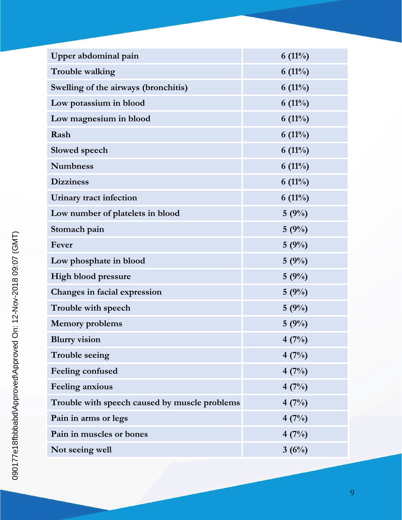| Upper abdominal pain                          | $6(11\%)$ |
|-----------------------------------------------|-----------|
| Trouble walking                               | $6(11\%)$ |
| Swelling of the airways (bronchitis)          | $6(11\%)$ |
| Low potassium in blood                        | $6(11\%)$ |
| Low magnesium in blood                        | $6(11\%)$ |
| Rash                                          | $6(11\%)$ |
| Slowed speech                                 | $6(11\%)$ |
| <b>Numbness</b>                               | $6(11\%)$ |
| <b>Dizziness</b>                              | $6(11\%)$ |
| Urinary tract infection                       | $6(11\%)$ |
| Low number of platelets in blood              | 5(9%)     |
| Stomach pain                                  | 5(9%)     |
| Fever                                         | 5(9%)     |
| Low phosphate in blood                        | 5(9%)     |
| <b>High blood pressure</b>                    | 5(9%)     |
| Changes in facial expression                  | 5(9%)     |
| Trouble with speech                           | 5(9%)     |
| <b>Memory problems</b>                        | 5(9%)     |
| <b>Blurry</b> vision                          | 4(7%)     |
| Trouble seeing                                | 4(7%)     |
| Feeling confused                              | 4(7%)     |
| <b>Feeling anxious</b>                        | 4(7%)     |
| Trouble with speech caused by muscle problems | 4(7%)     |
| Pain in arms or legs                          | 4(7%)     |
| Pain in muscles or bones                      | 4(7%)     |
| Not seeing well                               | 3(6%)     |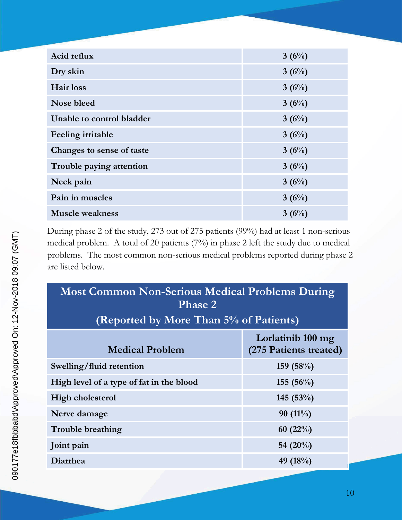| Acid reflux               | 3(6%) |
|---------------------------|-------|
| Dry skin                  | 3(6%) |
| <b>Hair</b> loss          | 3(6%) |
| Nose bleed                | 3(6%) |
| Unable to control bladder | 3(6%) |
| Feeling irritable         | 3(6%) |
| Changes to sense of taste | 3(6%) |
| Trouble paying attention  | 3(6%) |
| Neck pain                 | 3(6%) |
| Pain in muscles           | 3(6%) |
| <b>Muscle weakness</b>    | 3(6%) |

During phase 2 of the study, 273 out of 275 patients (99%) had at least 1 non-serious medical problem. A total of 20 patients (7%) in phase 2 left the study due to medical problems. The most common non-serious medical problems reported during phase 2 are listed below.

| <b>Most Common Non-Serious Medical Problems During</b><br><b>Phase 2</b> |                                             |  |
|--------------------------------------------------------------------------|---------------------------------------------|--|
| (Reported by More Than 5% of Patients)                                   |                                             |  |
| <b>Medical Problem</b>                                                   | Lorlatinib 100 mg<br>(275 Patients treated) |  |
| Swelling/fluid retention                                                 | 159(58%)                                    |  |
| High level of a type of fat in the blood                                 | 155(56%)                                    |  |
| High cholesterol                                                         | 145 $(53\%)$                                |  |
| Nerve damage                                                             | $90(11\%)$                                  |  |
| <b>Trouble breathing</b>                                                 | 60 $(22\%)$                                 |  |
| Joint pain                                                               | 54 $(20\%)$                                 |  |
| Diarrhea                                                                 | 49 $(18%)$                                  |  |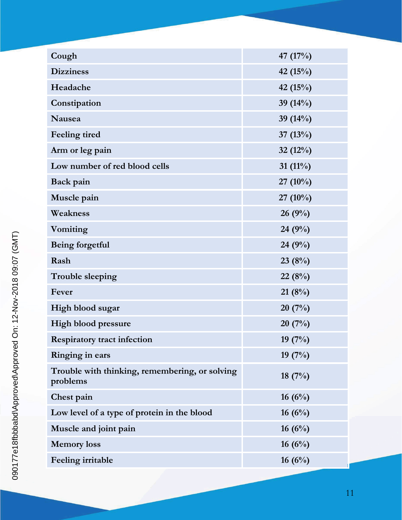| Cough                                                      | 47 (17%)    |
|------------------------------------------------------------|-------------|
| <b>Dizziness</b>                                           | 42 (15%)    |
| Headache                                                   | 42 (15%)    |
| Constipation                                               | 39 (14%)    |
| Nausea                                                     | 39 (14%)    |
| Feeling tired                                              | 37 $(13%)$  |
| Arm or leg pain                                            | 32 $(12%)$  |
| Low number of red blood cells                              | 31 $(11\%)$ |
| Back pain                                                  | $27(10\%)$  |
| Muscle pain                                                | 27 (10%)    |
| Weakness                                                   | 26(9%)      |
| Vomiting                                                   | 24 $(9%)$   |
| Being forgetful                                            | 24 (9%)     |
| Rash                                                       | 23(8%)      |
| <b>Trouble sleeping</b>                                    | 22(8%)      |
| Fever                                                      | 21(8%)      |
| High blood sugar                                           | 20(7%)      |
| <b>High blood pressure</b>                                 | 20(7%)      |
| <b>Respiratory tract infection</b>                         | 19(7%)      |
| Ringing in ears                                            | 19 $(7%)$   |
| Trouble with thinking, remembering, or solving<br>problems | 18 $(7%)$   |
| Chest pain                                                 | 16 $(6\%)$  |
| Low level of a type of protein in the blood                | 16 $(6\%)$  |
| Muscle and joint pain                                      | 16 $(6\%)$  |
| <b>Memory</b> loss                                         | 16 $(6\%)$  |
| Feeling irritable                                          | 16 $(6\%)$  |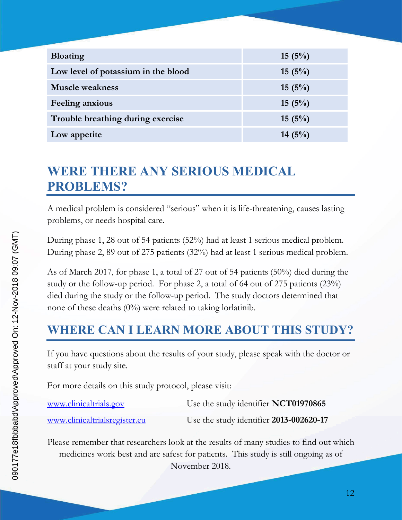| <b>Bloating</b>                     | 15(5%)    |
|-------------------------------------|-----------|
| Low level of potassium in the blood | 15(5%)    |
| <b>Muscle weakness</b>              | 15(5%)    |
| <b>Feeling anxious</b>              | 15(5%)    |
| Trouble breathing during exercise   | 15(5%)    |
| Low appetite                        | 14 $(5%)$ |

# **WERE THERE ANY SERIOUS MEDICAL PROBLEMS?**

A medical problem is considered "serious" when it is life-threatening, causes lasting problems, or needs hospital care.

During phase 1, 28 out of 54 patients (52%) had at least 1 serious medical problem. During phase 2, 89 out of 275 patients (32%) had at least 1 serious medical problem.

As of March 2017, for phase 1, a total of 27 out of 54 patients (50%) died during the study or the follow-up period. For phase 2, a total of 64 out of 275 patients (23%) died during the study or the follow-up period. The study doctors determined that none of these deaths (0%) were related to taking lorlatinib.

#### **WHERE CAN I LEARN MORE ABOUT THIS STUDY?**

If you have questions about the results of your study, please speak with the doctor or staff at your study site.

For more details on this study protocol, please visit:

| www.clinicaltrials.gov        | Use the study identifier NCT01970865    |
|-------------------------------|-----------------------------------------|
| www.clinicaltrialsregister.eu | Use the study identifier 2013-002620-17 |

Please remember that researchers look at the results of many studies to find out which medicines work best and are safest for patients. This study is still ongoing as of November 2018.